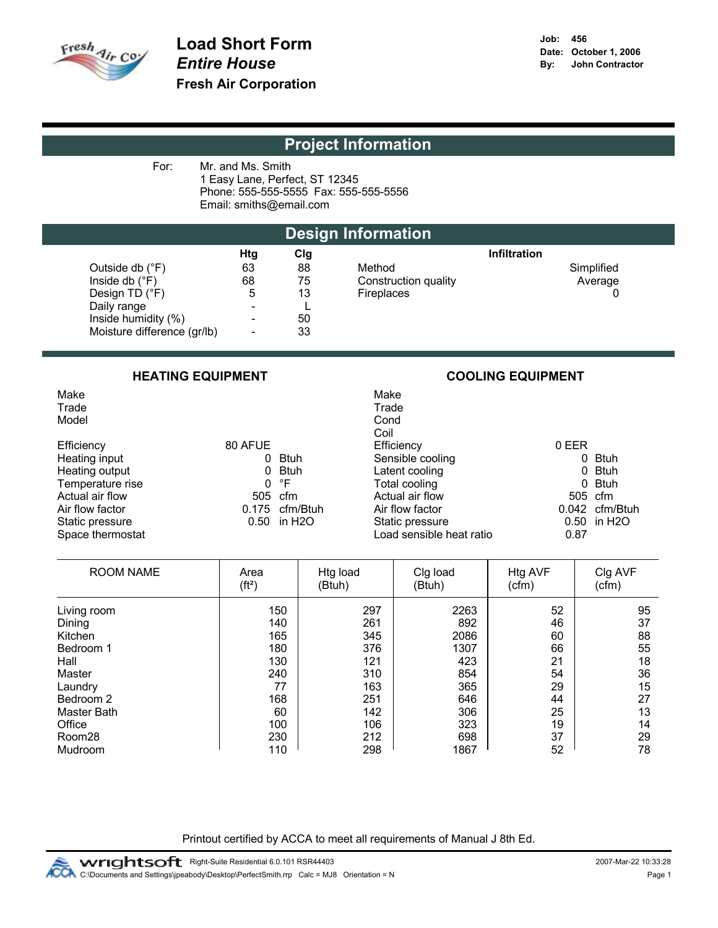

| Mr. and Ms. Smith<br>For:<br>1 Easy Lane, Perfect, ST 12345<br>Phone: 555-555-5555 Fax: 555-555-5556<br>Email: smiths@email.com |                             |                          |     |                      |                     |            |  |  |
|---------------------------------------------------------------------------------------------------------------------------------|-----------------------------|--------------------------|-----|----------------------|---------------------|------------|--|--|
|                                                                                                                                 | <b>Design Information</b>   |                          |     |                      |                     |            |  |  |
|                                                                                                                                 |                             | <b>Htg</b>               | Clg |                      | <b>Infiltration</b> |            |  |  |
|                                                                                                                                 | Outside db $(^{\circ}F)$    | 63                       | 88  | Method               |                     | Simplified |  |  |
|                                                                                                                                 | Inside db $(^{\circ}F)$     | 68                       | 75  | Construction quality |                     | Average    |  |  |
|                                                                                                                                 | Design TD $(^{\circ}F)$     | 5                        | 13  | Fireplaces           |                     |            |  |  |
|                                                                                                                                 | Daily range                 |                          |     |                      |                     |            |  |  |
|                                                                                                                                 | Inside humidity (%)         |                          | 50  |                      |                     |            |  |  |
|                                                                                                                                 | Moisture difference (gr/lb) | $\overline{\phantom{0}}$ | 33  |                      |                     |            |  |  |

### HEATING EQUIPMENT **EXECUTE EXECUTE EXECUTE EXECUTE EXECUTE EXECUTE EXECUTE EXECUTE EXECUTE EXECUTE EXECUTE EXECUTE E**

Model **Conditions** and the conditions of the conditions of the conditions of the conditions of the conditions of the conditions of the conditions of the conditions of the conditions of the conditions of the conditions of t

|                  |         |                            | יוש                      |             |
|------------------|---------|----------------------------|--------------------------|-------------|
| Efficiency       | 80 AFUE |                            | Efficiency               | 0 EER       |
| Heating input    |         | 0 Btuh                     | Sensible cooling         | 0           |
| Heating output   |         | 0 Btuh                     | Latent cooling           | 0           |
| Temperature rise |         | 0 °F                       | Total cooling            | $\mathbf 0$ |
| Actual air flow  |         | 505 cfm                    | Actual air flow          | 505         |
| Air flow factor  |         | 0.175 cfm/Btuh             | Air flow factor          | 0.042       |
| Static pressure  |         | $0.50$ in H <sub>2</sub> O | Static pressure          | 0.50        |
| Space thermostat |         |                            | Load sensible heat ratio | 0.87        |
|                  |         |                            |                          |             |

# Make Machine and the Make Make Make Make Make Make  $\mathsf{M}$ Trade **Trade** Trade Trade Trade Trade Trade Trade Trade Trade Trade Trade Trade Trade Trade Trade Trade Trade Trade Coil<br>Efficiency Sensible cooling and the cooling of the Btuh 1 Sensible Cooling and the Cooling of the Btuh 0 Btuh 0 Sensible Cooling and Cooling and Cooling and Cooling and Cooling and Cooling and Cooling and Cooling and Cooling and Cool Latent cooling and the bulk of the bulk of the bulk of the bulk of the bulk of the bulk of the bulk of the bulk of the bulk of the bulk of the bulk of the bulk of the bulk of the bulk of the bulk of the bulk of the bulk of Total cooling <sup>6</sup><br>Actual air flow 605 cfm Actual air flow<br>Air flow factor h air flow factor cfm/Btuh 0.042 cfm/Btuh 3tatic pressure cfm/Btuh 0.50 in H2O Static pressure in H2O 0.50<br>
Load sensible heat ratio in H2O 0.87

| <b>ROOM NAME</b> | Area<br>(ft <sup>2</sup> ) | Htg load<br>(Btuh) | Clg load<br>(Btuh) | Htg AVF<br>(cfm) | Clg AVF<br>(cfm) |
|------------------|----------------------------|--------------------|--------------------|------------------|------------------|
| Living room      | 150                        | 297                | 2263               | 52               | 95               |
| Dining           | 140                        | 261                | 892                | 46               | 37               |
| Kitchen          | 165                        | 345                | 2086               | 60               | 88               |
| Bedroom 1        | 180                        | 376                | 1307               | 66               | 55               |
| Hall             | 130                        | 121                | 423                | 21               | 18               |
| Master           | 240                        | 310                | 854                | 54               | 36               |
| Laundry          | 77                         | 163                | 365                | 29               | 15               |
| Bedroom 2        | 168                        | 251                | 646                | 44               | 27               |
| Master Bath      | 60                         | 142                | 306                | 25               | 13               |
| Office           | 100                        | 106                | 323                | 19               | 14               |
| Room28           | 230                        | 212                | 698                | 37               | 29               |
| Mudroom          | 110                        | 298                | 1867               | 52               | 78               |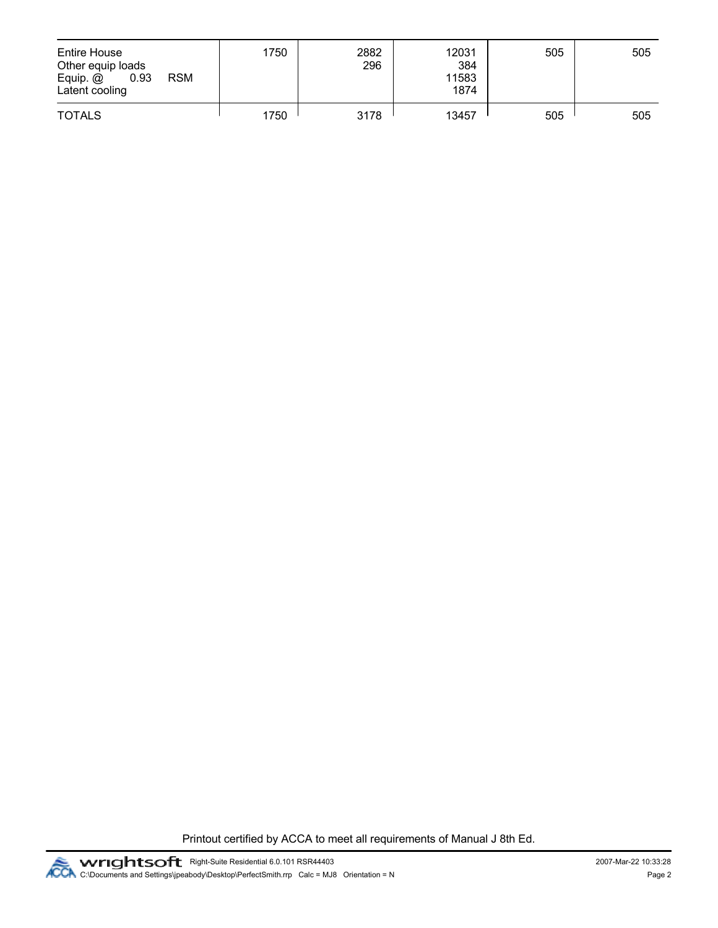| Entire House<br>Other equip loads<br>Equip. @<br><b>RSM</b><br>0.93<br>Latent cooling | 1750 | 2882<br>296 | 12031<br>384<br>11583<br>1874 | 505 | 505 |
|---------------------------------------------------------------------------------------|------|-------------|-------------------------------|-----|-----|
| <b>TOTALS</b>                                                                         | 1750 | 3178        | 13457                         | 505 | 505 |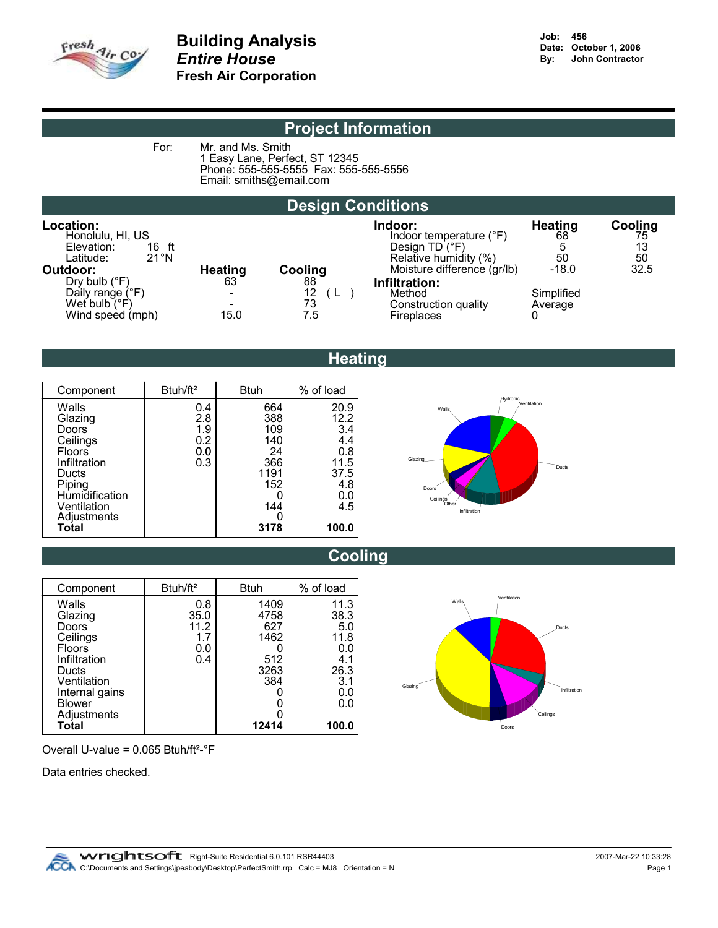

For: Mr. and Ms. Smith

1 Easy Lane, Perfect, ST 12345 Phone: 555-555-5555 Fax: 555-555-5556 Email: smiths@email.com

# Design Conditions

| Location:<br>Honolulu, HI, US<br>Elevation:<br>16 ft<br>$21^{\circ}$ N<br>Latitude:      |                                                                    |                       | Indoor:<br>Indoor temperature (°F)<br>Design $TD$ ( ${}^{\circ}F$ )<br>Relative humidity (%) | <b>Heating</b><br>68<br>50 | Cooling<br>75<br>13<br>50 |
|------------------------------------------------------------------------------------------|--------------------------------------------------------------------|-----------------------|----------------------------------------------------------------------------------------------|----------------------------|---------------------------|
| Outdoor:                                                                                 | <b>Heating</b>                                                     | Cooling               | Moisture difference (gr/lb)                                                                  | $-18.0$                    | 32.5                      |
| Dry bulb $(^{\circ}F)$<br>Daily range (°F)<br>Wet bulb $(\degree F)$<br>Wind speed (mph) | 63<br>$\overline{\phantom{a}}$<br>$\overline{\phantom{0}}$<br>15.0 | 88<br>12<br>73<br>7.5 | Infiltration:<br>Method<br>Construction quality<br>Fireplaces                                | Simplified<br>Average      |                           |

# **Heating**

| Component                                                                                                                                          | Btuh/ft <sup>2</sup>                   | <b>Btuh</b>                                                         | % of load                                                                         |
|----------------------------------------------------------------------------------------------------------------------------------------------------|----------------------------------------|---------------------------------------------------------------------|-----------------------------------------------------------------------------------|
| Walls<br>Glazing<br>Doors<br>Ceilings<br><b>Floors</b><br>Infiltration<br>Ducts<br>Piping<br>Humidification<br>Ventilation<br>Adjustments<br>Total | 0.4<br>2.8<br>1.9<br>0.2<br>0.0<br>0.3 | 664<br>388<br>109<br>140<br>24<br>366<br>1191<br>152<br>144<br>3178 | 20.9<br>12.2<br>3.4<br>4.4<br>0.8<br>11.5<br>37.5<br>4.8<br>$0.0$<br>4.5<br>100.0 |



# Cooling

| Component                                                                               | Btuh/ft <sup>2</sup>                     | <b>Btuh</b>                                       | % of load                                                |
|-----------------------------------------------------------------------------------------|------------------------------------------|---------------------------------------------------|----------------------------------------------------------|
| Walls<br>Glazing<br>Doors<br>Ceilings<br>Floors<br>Infiltration<br>Ducts<br>Ventilation | 0.8<br>35.0<br>11.2<br>1.7<br>0.0<br>0.4 | 1409<br>4758<br>627<br>1462<br>512<br>3263<br>384 | 11.3<br>38.3<br>5.0<br>11.8<br>0.0<br>4.1<br>26.3<br>3.1 |
| Internal gains<br><b>Blower</b>                                                         |                                          |                                                   | 0.0<br>0.0                                               |
| Adjustments<br>Total                                                                    |                                          | 12414                                             | 100.0                                                    |



Overall U-value = 0.065 Btuh/ft²-°F

Data entries checked.

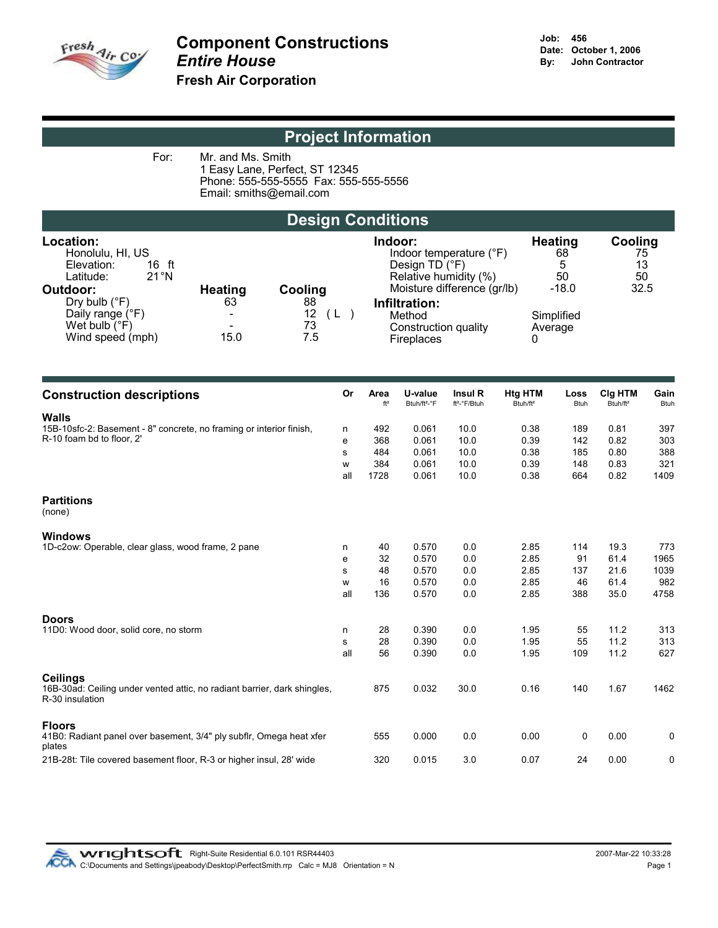

For: Mr. and Ms. Smith 1 Easy Lane, Perfect, ST 12345 Phone: 555-555-5555 Fax: 555-555-5556 Email: smiths@email.com

# Design Conditions

Location: Indoor: Heating Cooling Anton: The Honolulu, HI, US<br>
Honolulu, HI, US<br>
Elevation: 16 ft The Contract of The Changes of The Contract OF The Contract of The Contract of The Contract O Dry bulb  $(^{\circ}F)$  63<br>Daily range  $(^{\circ}F)$  63 Daily range (°F)  $W$ et bulb (°F)  $\overline{P}$ <br>
Wind speed (mph)  $\overline{P}$  15.0 Wind speed (mph)

| Honolulu, HI, US            |                |         | Indoor temperature (°F)     | 68         | 75   |
|-----------------------------|----------------|---------|-----------------------------|------------|------|
| Elevation:<br>16 ft         |                |         | Design TD $(^{\circ}F)$     | 5          | 13   |
| $21^{\circ}$ N<br>Latitude: |                |         | Relative humidity (%)       | 50         | 50   |
| Outdoor:                    | <b>Heating</b> | Cooling | Moisture difference (gr/lb) | $-18.0$    | 32.5 |
| Dry bulb $(^{\circ}F)$      | 63             | 88      | Infiltration:               |            |      |
| Daily range (°F)            |                | 12      | Method                      | Simplified |      |
| Wet bulb $(^{\circ}F)$      | -              | 73      | Construction quality        | Average    |      |
| Wind speed (mph)            | 15.0           | 7.5     | Fireplaces                  |            |      |
|                             |                |         |                             |            |      |

| <b>Construction descriptions</b>                                                            | Or  | Area<br>$ft^2$ | U-value<br>Btuh/ft <sup>2_o</sup> F | Insul R<br>ft <sup>2</sup> -°F/Btuh | Htg HTM<br>Btuh/ft <sup>2</sup> | Loss<br><b>Btuh</b> | Clg HTM<br>Btuh/ft <sup>2</sup> | Gain<br><b>Btuh</b> |
|---------------------------------------------------------------------------------------------|-----|----------------|-------------------------------------|-------------------------------------|---------------------------------|---------------------|---------------------------------|---------------------|
| <b>Walls</b>                                                                                |     |                |                                     |                                     |                                 |                     |                                 |                     |
| 15B-10sfc-2: Basement - 8" concrete, no framing or interior finish,                         | n   | 492            | 0.061                               | 10.0                                | 0.38                            | 189                 | 0.81                            | 397                 |
| R-10 foam bd to floor, 2'                                                                   | е   | 368            | 0.061                               | 10.0                                | 0.39                            | 142                 | 0.82                            | 303                 |
|                                                                                             | s   | 484            | 0.061                               | 10.0                                | 0.38                            | 185                 | 0.80                            | 388                 |
|                                                                                             | W   | 384            | 0.061                               | 10.0                                | 0.39                            | 148                 | 0.83                            | 321                 |
|                                                                                             | all | 1728           | 0.061                               | 10.0                                | 0.38                            | 664                 | 0.82                            | 1409                |
| <b>Partitions</b><br>(none)                                                                 |     |                |                                     |                                     |                                 |                     |                                 |                     |
| <b>Windows</b>                                                                              |     |                |                                     |                                     |                                 |                     |                                 |                     |
| 1D-c2ow: Operable, clear glass, wood frame, 2 pane                                          | n   | 40             | 0.570                               | 0.0                                 | 2.85                            | 114                 | 19.3                            | 773                 |
|                                                                                             | е   | 32             | 0.570                               | 0.0                                 | 2.85                            | 91                  | 61.4                            | 1965                |
|                                                                                             | s   | 48             | 0.570                               | 0.0                                 | 2.85                            | 137                 | 21.6                            | 1039                |
|                                                                                             | W   | 16             | 0.570                               | 0.0                                 | 2.85                            | 46                  | 61.4                            | 982                 |
|                                                                                             | all | 136            | 0.570                               | 0.0                                 | 2.85                            | 388                 | 35.0                            | 4758                |
| <b>Doors</b>                                                                                |     |                |                                     |                                     |                                 |                     |                                 |                     |
| 11D0: Wood door, solid core, no storm                                                       | n   | 28             | 0.390                               | 0.0                                 | 1.95                            | 55                  | 11.2                            | 313                 |
|                                                                                             | s   | 28             | 0.390                               | 0.0                                 | 1.95                            | 55                  | 11.2                            | 313                 |
|                                                                                             | all | 56             | 0.390                               | 0.0                                 | 1.95                            | 109                 | 11.2                            | 627                 |
| <b>Ceilings</b>                                                                             |     |                |                                     |                                     |                                 |                     |                                 |                     |
| 16B-30ad: Ceiling under vented attic, no radiant barrier, dark shingles,<br>R-30 insulation |     | 875            | 0.032                               | 30.0                                | 0.16                            | 140                 | 1.67                            | 1462                |
| <b>Floors</b>                                                                               |     |                |                                     |                                     |                                 |                     |                                 |                     |
| 41B0: Radiant panel over basement, 3/4" ply subflr, Omega heat xfer<br>plates               |     | 555            | 0.000                               | 0.0                                 | 0.00                            | 0                   | 0.00                            | 0                   |
| 21B-28t: Tile covered basement floor, R-3 or higher insul, 28' wide                         |     | 320            | 0.015                               | 3.0                                 | 0.07                            | 24                  | 0.00                            | 0                   |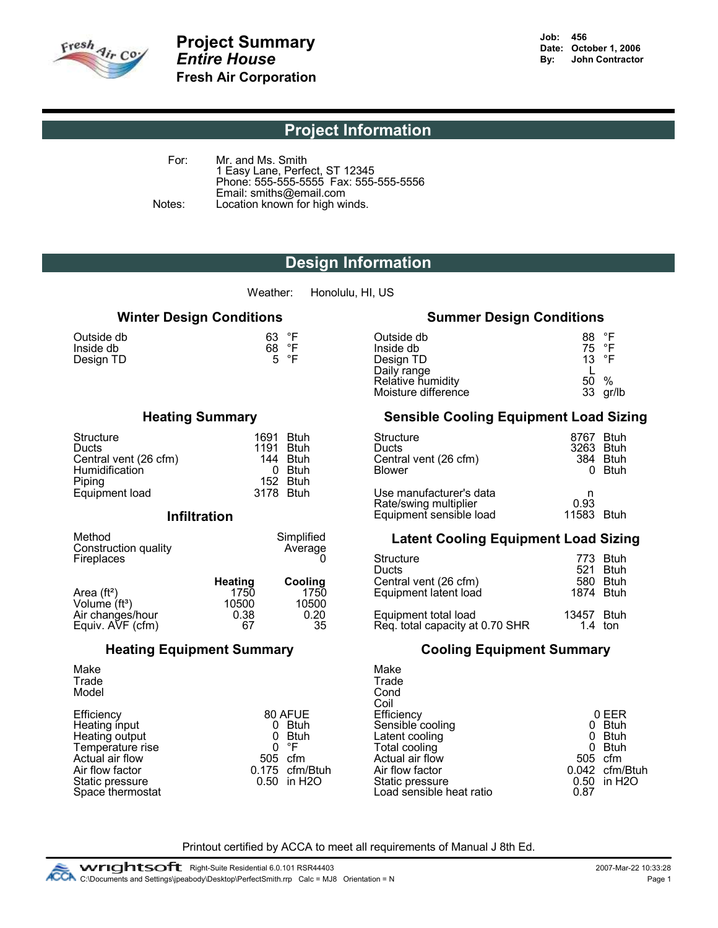

For: Mr. and Ms. Smith 1 Easy Lane, Perfect, ST 12345 Phone: 555-555-5555 Fax: 555-555-5556 Email: smiths@email.com Notes: Location known for high winds.

# Design Information

Weather: Honolulu, HI, US

| Outside db<br>Inside db | 63 °F<br>68 °F<br>5 °F |
|-------------------------|------------------------|
| Design TD               |                        |

| Structure             | 1691      | <b>Btuh</b> | Structure               | 8767 |
|-----------------------|-----------|-------------|-------------------------|------|
| Ducts                 | 1191      | <b>Btuh</b> | Ducts                   | 3263 |
| Central vent (26 cfm) | 144       | <b>Btuh</b> | Central vent (26 cfm)   | 384  |
| <b>Humidification</b> |           | <b>Btuh</b> | <b>Blower</b>           | 0    |
| Piping                | 152.      | <b>Btuh</b> |                         |      |
| Equipment load        | 3178 Btuh |             | Use manufacturer's data | n    |
|                       |           |             | Dotalowing multiplier   | റ റാ |

### **Infiltration**

| Method<br>Construction quality | Simplified<br>Average |                    | <b>Latent Cooling Equipment Load Sizing</b> |                  |
|--------------------------------|-----------------------|--------------------|---------------------------------------------|------------------|
| <b>Fireplaces</b>              |                       | Structure<br>Ducts | 521                                         | 773 Btuh<br>Btuh |

|                    | Heatinɑ | Cooling | Central vent (26 cfm)           | 580       | -Btuh       |
|--------------------|---------|---------|---------------------------------|-----------|-------------|
| Area $(ft^2)$      | 1750    | 1750    | Equipment latent load           | 1874 Btuh |             |
| Volume $(ft^3)$    | 10500   | 10500   |                                 |           |             |
| Air changes/hour   | 0.38    | 0.20    | Equipment total load            | 13457     | <b>Btuh</b> |
| Equiv. $AVF$ (cfm) | 67      | 35      | Req. total capacity at 0.70 SHR |           | $1.4$ ton   |

|                  |                            | ווטע                     |                  |
|------------------|----------------------------|--------------------------|------------------|
| Efficiency       | 80 AFUE                    | Efficiency               | 0 EEI            |
| Heating input    | 0 Btuh                     | Sensible cooling         | Btu              |
| Heating output   | 0 Btuh                     | Latent cooling           | Btu              |
| Temperature rise | 0 °F                       | Total cooling            | Btu              |
| Actual air flow  | 505 cfm                    | Actual air flow          | 505 cfm          |
| Air flow factor  | 0.175 cfm/Btuh             | Air flow factor          | $0.042$ cfm      |
| Static pressure  | $0.50$ in H <sub>2</sub> O | Static pressure          | 0.50 in $\vdash$ |
| Space thermostat |                            | Load sensible heat ratio | 0.87             |
|                  |                            |                          |                  |

## Winter Design Conditions **Summer Design Conditions**

| Outside db<br>Inside db<br>Design TD | °F<br>63<br>°F<br>68<br>5 °F | Outside db<br>Inside db<br>Design TD<br>Daily range<br>Relative humidity<br>Moisture difference | 88<br>75 °F<br>13 $\degree$ F<br>50<br>33 | $^{\circ}$ F<br>%<br>gr/lb |
|--------------------------------------|------------------------------|-------------------------------------------------------------------------------------------------|-------------------------------------------|----------------------------|
|--------------------------------------|------------------------------|-------------------------------------------------------------------------------------------------|-------------------------------------------|----------------------------|

### Heating Summary Sensible Cooling Equipment Load Sizing

| Structure<br>Ducts<br>Central vent (26 cfm)<br>Humidification<br>Piping | 1691<br>1191<br>0. | <b>Btuh</b><br><b>Btuh</b><br>144 Btuh<br><b>Btuh</b><br>152 Btuh | Structure<br>Ducts<br>Central vent (26 cfm)<br><b>Blower</b>                | 8767<br>3263<br>384 | <b>Btuh</b><br>Btuh<br>Btuh<br><b>Btuh</b> |
|-------------------------------------------------------------------------|--------------------|-------------------------------------------------------------------|-----------------------------------------------------------------------------|---------------------|--------------------------------------------|
| Equipment load<br><b>Infiltration</b>                                   | 3178 Btuh          |                                                                   | Use manufacturer's data<br>Rate/swing multiplier<br>Equipment sensible load | 0.93<br>11583       | <b>Btuh</b>                                |

|                          | Average                  | Structure<br>Ducts                                      | 773.<br>521      | <b>Btuh</b><br><b>Btuh</b> |
|--------------------------|--------------------------|---------------------------------------------------------|------------------|----------------------------|
| Heating<br>1750<br>10500 | Cooling<br>1750<br>10500 | Central vent (26 cfm)<br>Equipment latent load          | 580<br>1874 Btuh | <b>Btuh</b>                |
| 0.38<br>67               | 0.20<br>35               | Equipment total load<br>Req. total capacity at 0.70 SHR | 13457            | <b>Btuh</b><br>$1.4$ ton   |

## Heating Equipment Summary Cooling Equipment Summary

|                  | Make                     |                                                                          |             |
|------------------|--------------------------|--------------------------------------------------------------------------|-------------|
|                  | Trade                    |                                                                          |             |
|                  | Cond                     |                                                                          |             |
|                  | Coil                     |                                                                          |             |
| 80 AFUE          | Efficiency               |                                                                          | 0 EER       |
| <b>Btuh</b><br>0 |                          |                                                                          | 0 Btuh      |
| <b>Btuh</b><br>0 |                          |                                                                          | Btuh        |
| °F<br>0          | Total cooling            | 0                                                                        | <b>Btuh</b> |
| 505 cfm          | Actual air flow          | 505 cfm                                                                  |             |
| 0.175 cfm/Btuh   |                          |                                                                          | cfm/Btuh    |
| 0.50 in H2O      |                          |                                                                          | 0.50 in H2O |
|                  | Load sensible heat ratio | 0.87                                                                     |             |
|                  |                          | Sensible cooling<br>Latent cooling<br>Air flow factor<br>Static pressure | 0.042       |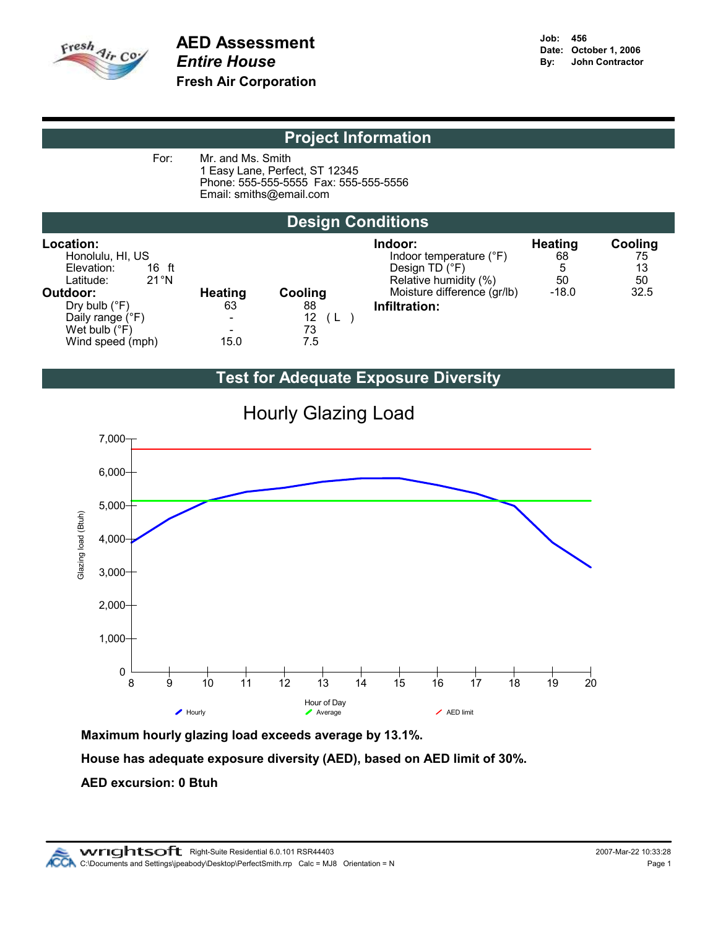

For: Mr. and Ms. Smith 1 Easy Lane, Perfect, ST 12345 Phone: 555-555-5555 Fax: 555-555-5556 Email: smiths@email.com

# Design Conditions

| Location:<br>Honolulu, HI, US<br>Elevation:<br>16 ft<br>$21^{\circ}$ N<br>Latitude: |                          |         | Indoor:<br>Indoor temperature (°F)<br>Design TD (°F)<br>Relative humidity (%) | <b>Heating</b><br>68<br>5<br>50 | Cooling<br>75<br>13<br>50 |
|-------------------------------------------------------------------------------------|--------------------------|---------|-------------------------------------------------------------------------------|---------------------------------|---------------------------|
| Outdoor:                                                                            | <b>Heating</b>           | Cooling | Moisture difference (gr/lb)                                                   | $-18.0$                         | 32.5                      |
| Dry bulb $(^{\circ}F)$                                                              | 63                       | 88      | Infiltration:                                                                 |                                 |                           |
| Daily range (°F)                                                                    | $\overline{\phantom{0}}$ | 12      |                                                                               |                                 |                           |
| Wet bulb $(^{\circ}F)$                                                              | $\overline{\phantom{0}}$ | 73      |                                                                               |                                 |                           |
| Wind speed (mph)                                                                    | 15.0                     | 7.5     |                                                                               |                                 |                           |

# Test for Adequate Exposure Diversity



Hourly Glazing Load

Maximum hourly glazing load exceeds average by 13.1%.

House has adequate exposure diversity (AED), based on AED limit of 30%.

### AED excursion: 0 Btuh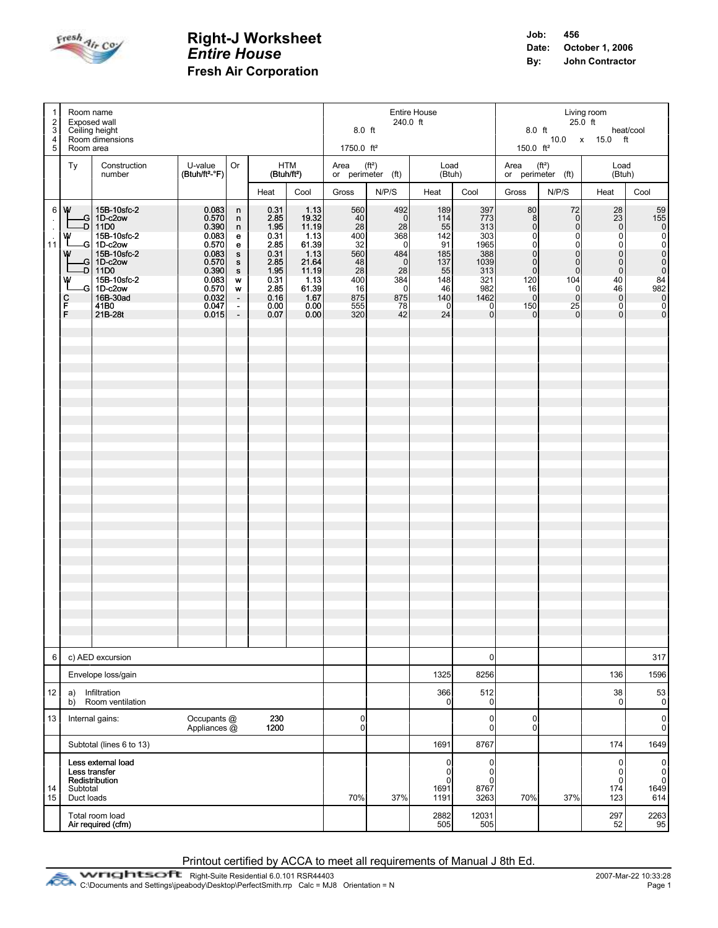

| $\mathbf{1}$<br>$\overline{2}$<br>3      | Room name<br>Exposed wall<br>Ceiling height                                                                                                                                                                              |                                                                                                                   | Entire House<br>240.0 ft<br>$8.0$ ft                                                |                                                                                                      |                                                                                                            |                                                                                   |                                                                                                                | Living room<br>$25.0$ ft<br>8.0 ft<br>heat/cool<br>10.0 x 15.0 ft                             |                                                                                                     |                                                                                                                                                                       |                                                                                                                                                     |                                                                                                                                                                    |                                                     |
|------------------------------------------|--------------------------------------------------------------------------------------------------------------------------------------------------------------------------------------------------------------------------|-------------------------------------------------------------------------------------------------------------------|-------------------------------------------------------------------------------------|------------------------------------------------------------------------------------------------------|------------------------------------------------------------------------------------------------------------|-----------------------------------------------------------------------------------|----------------------------------------------------------------------------------------------------------------|-----------------------------------------------------------------------------------------------|-----------------------------------------------------------------------------------------------------|-----------------------------------------------------------------------------------------------------------------------------------------------------------------------|-----------------------------------------------------------------------------------------------------------------------------------------------------|--------------------------------------------------------------------------------------------------------------------------------------------------------------------|-----------------------------------------------------|
| 4<br>5                                   | Room dimensions<br>Room area                                                                                                                                                                                             |                                                                                                                   |                                                                                     |                                                                                                      |                                                                                                            | 1750.0 ft <sup>2</sup>                                                            |                                                                                                                |                                                                                               |                                                                                                     | 150.0 $ft^2$                                                                                                                                                          |                                                                                                                                                     |                                                                                                                                                                    |                                                     |
|                                          | Construction<br>Ty<br>number                                                                                                                                                                                             | U-value                                                                                                           | Or<br>HTM<br>(Btuh/ft <sup>2</sup> -°F)<br>(Btuh/ft <sup>2</sup> )                  |                                                                                                      |                                                                                                            | Area<br>(f t <sup>2</sup> )<br>Load<br>or perimeter (ft)<br>(Btuh)                |                                                                                                                |                                                                                               | Area $(ft2)$<br>or perimeter (ft)                                                                   |                                                                                                                                                                       | Load<br>(Btuh)                                                                                                                                      |                                                                                                                                                                    |                                                     |
|                                          |                                                                                                                                                                                                                          |                                                                                                                   |                                                                                     | Heat                                                                                                 | Cool                                                                                                       | Gross                                                                             | N/P/S                                                                                                          | Heat                                                                                          | Cool                                                                                                | Gross                                                                                                                                                                 | N/P/S                                                                                                                                               | Heat                                                                                                                                                               | Cool                                                |
| $\epsilon$<br>$\ddot{\phantom{a}}$<br>11 | 6 W<br>15B-10sfc-2<br>-G   1D-c2ow<br>11D0<br>-D I<br>15B-10sfc-2<br>w<br>-G 1D-c2ow<br>15B-10sfc-2<br>w<br>$-G$ 1D-c2ow<br>11D0<br>۰DI<br>15B-10sfc-2<br>w<br>-G 1D-c2ow<br>16B-30ad<br>с<br>F<br>41B0<br>F.<br>21B-28t | 0.083<br>0.570<br>0.390<br>0.083<br>0.570<br>0.083<br>0.570<br>0.390<br>0.083<br>0.570<br>0.032<br>0.047<br>0.015 | n<br>n<br>n<br>е<br>е<br>s<br>s<br>s<br>w<br>W<br>$\blacksquare$<br>$\frac{1}{\pi}$ | 0.31<br>2.85<br>1.95<br>0.31<br>2.85<br>0.31<br>2.85<br>1.95<br>0.31<br>2.85<br>0.16<br>0.00<br>0.07 | 1.13<br>19.32<br>11.19<br>1.13<br>61.39<br>1.13<br>21.64<br>11.19<br>1.13<br>61.39<br>1.67<br>0.00<br>0.00 | 560<br>40<br>28<br>400<br>32<br>560<br>48<br>28<br>400<br>16<br>875<br>555<br>320 | 492<br>-ol<br>28<br>368<br>$\overline{0}$<br>484<br>$\overline{0}$<br>28<br>384<br>$\Omega$<br>875<br>78<br>42 | 189<br>114<br>55<br>142<br>91<br>185<br>137<br>55<br>148<br>46<br>140<br>$\overline{0}$<br>24 | 397<br>773<br>313<br>303<br>1965<br>388<br>1039<br>313<br>321<br>982<br>1462<br>0<br>$\overline{0}$ | 80<br>8<br>$\overline{0}$<br>$\overline{0}$<br>$\overline{0}$<br>$\overline{0}$<br>$\overline{0}$<br>$\overline{0}$<br>120<br>16<br>$\overline{0}$<br>150<br>$\Omega$ | 72<br>$\overline{0}$<br>$\Omega$<br>$\Omega$<br>$\Omega$<br>$\Omega$<br>$\overline{0}$<br>$\overline{0}$<br>104<br>0l<br>$\Omega$<br>25<br>$\Omega$ | 28<br>23<br>$\pmb{0}$<br>$\overline{0}$<br>$\pmb{0}$<br>$\overline{0}$<br>$\pmb{0}$<br>$\overline{0}$<br>40<br>46<br>$\overline{0}$<br>$\pmb{0}$<br>$\overline{0}$ | $\frac{59}{155}$                                    |
| 6                                        | c) AED excursion                                                                                                                                                                                                         |                                                                                                                   |                                                                                     |                                                                                                      |                                                                                                            |                                                                                   |                                                                                                                |                                                                                               | 0                                                                                                   |                                                                                                                                                                       |                                                                                                                                                     |                                                                                                                                                                    | 317                                                 |
| 12                                       | Envelope loss/gain<br>Infiltration                                                                                                                                                                                       |                                                                                                                   |                                                                                     |                                                                                                      |                                                                                                            |                                                                                   |                                                                                                                | 1325                                                                                          | 8256                                                                                                |                                                                                                                                                                       |                                                                                                                                                     | 136<br>38                                                                                                                                                          | 1596                                                |
|                                          | a)<br>Room ventilation<br>b)                                                                                                                                                                                             |                                                                                                                   |                                                                                     |                                                                                                      |                                                                                                            |                                                                                   |                                                                                                                | 366<br>$\Omega$                                                                               | 512<br>$\pmb{0}$                                                                                    |                                                                                                                                                                       |                                                                                                                                                     | $\mathbf 0$                                                                                                                                                        | 53<br>$\mathbf{0}$                                  |
| 13                                       | Internal gains:                                                                                                                                                                                                          | Occupants @<br>Appliances @                                                                                       |                                                                                     | 230<br>1200                                                                                          |                                                                                                            | $\overline{0}$<br>$\overline{0}$                                                  |                                                                                                                |                                                                                               | 0<br>$\overline{0}$                                                                                 | $\pmb{0}$<br>$\mathbf 0$                                                                                                                                              |                                                                                                                                                     |                                                                                                                                                                    | $\pmb{0}$<br>$\mathbf{0}$                           |
|                                          | Subtotal (lines 6 to 13)                                                                                                                                                                                                 |                                                                                                                   |                                                                                     |                                                                                                      |                                                                                                            |                                                                                   |                                                                                                                | 1691                                                                                          | 8767                                                                                                |                                                                                                                                                                       |                                                                                                                                                     | 174                                                                                                                                                                | 1649                                                |
| 14<br>15                                 | Less external load<br>Less transfer<br>Redistribution<br>Subtotal<br>Duct loads                                                                                                                                          |                                                                                                                   |                                                                                     |                                                                                                      |                                                                                                            | 70%                                                                               | 37%                                                                                                            | $\overline{0}$<br>0<br>$\Omega$<br>1691<br>1191                                               | 0<br>$\pmb{0}$<br>$\mathbf 0$<br>8767<br>3263                                                       | 70%                                                                                                                                                                   | 37%                                                                                                                                                 | $\pmb{0}$<br>$\pmb{0}$<br>$\mathbf 0$<br>174<br>123                                                                                                                | $\overline{0}$<br>$_{\rm 0}^{\rm 0}$<br>1649<br>614 |
|                                          | Total room load<br>Air required (cfm)                                                                                                                                                                                    |                                                                                                                   |                                                                                     |                                                                                                      |                                                                                                            |                                                                                   |                                                                                                                | 2882<br>505                                                                                   | 12031<br>505                                                                                        |                                                                                                                                                                       |                                                                                                                                                     | 297<br>52                                                                                                                                                          | $\begin{bmatrix} 2263 \\ 95 \end{bmatrix}$          |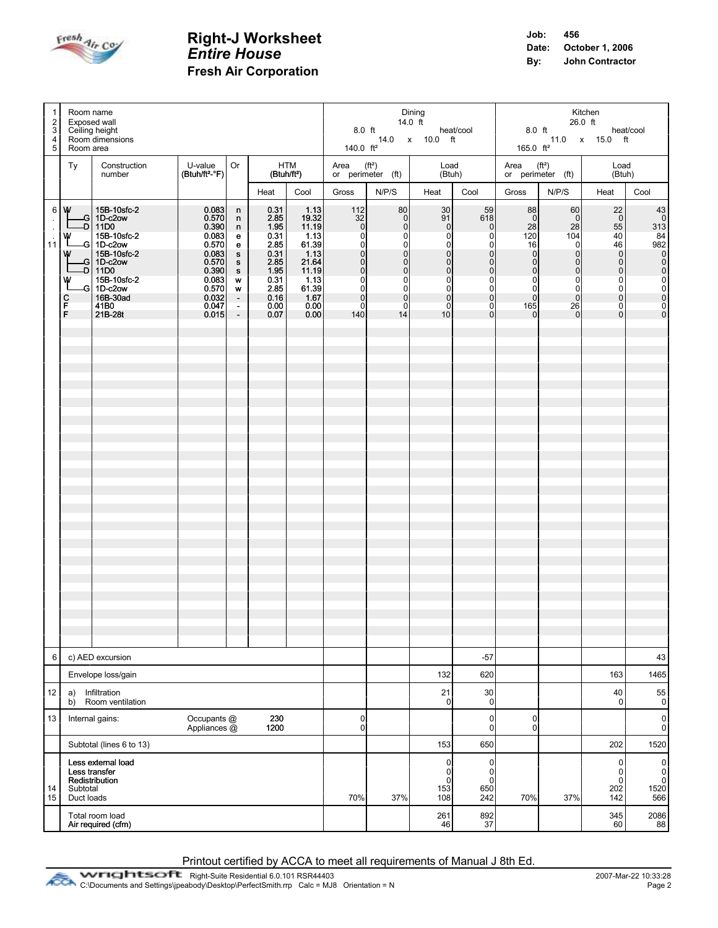

| $\mathbf{1}$                                                    | Room name<br>2<br>Exposed wall<br>3<br>Ceiling height<br>Room dimensions<br>4<br>5<br>Room area |                                                                                                                                                                          |                                                                                                                   |                                                                                                                   |                                                                                                      |                                                                                                                                           | Dining<br>14.0 ft<br>8.0 ft<br>14.0 x 10.0 ft<br>140.0 $ft^2$                                                                                                |                                                                                                                                                                                  |                                                                                                                                                                               |                                                                                                                                                                                          | Kitchen<br>26.0 ft<br>8.0 ft heat/c<br>11.0 x 15.0 ft<br>heat/cool<br>165.0 $ft^2$                                                                          |                                                                                                                                                                  |                                                                                                                                                                                                 |                                                                                                     |
|-----------------------------------------------------------------|-------------------------------------------------------------------------------------------------|--------------------------------------------------------------------------------------------------------------------------------------------------------------------------|-------------------------------------------------------------------------------------------------------------------|-------------------------------------------------------------------------------------------------------------------|------------------------------------------------------------------------------------------------------|-------------------------------------------------------------------------------------------------------------------------------------------|--------------------------------------------------------------------------------------------------------------------------------------------------------------|----------------------------------------------------------------------------------------------------------------------------------------------------------------------------------|-------------------------------------------------------------------------------------------------------------------------------------------------------------------------------|------------------------------------------------------------------------------------------------------------------------------------------------------------------------------------------|-------------------------------------------------------------------------------------------------------------------------------------------------------------|------------------------------------------------------------------------------------------------------------------------------------------------------------------|-------------------------------------------------------------------------------------------------------------------------------------------------------------------------------------------------|-----------------------------------------------------------------------------------------------------|
|                                                                 | Ty                                                                                              | Construction<br>number                                                                                                                                                   | U-value<br>$(Btuh/ft2-oF)$                                                                                        | Or                                                                                                                |                                                                                                      | HTM<br>(Btuh/ft <sup>2</sup> )                                                                                                            |                                                                                                                                                              | Area $(ft^2)$<br>or perimeter $(ft)$                                                                                                                                             |                                                                                                                                                                               | Load<br>(Btuh)                                                                                                                                                                           | Area $(ft^2)$                                                                                                                                               | or perimeter $(ft)$                                                                                                                                              | Load<br>(Btuh)                                                                                                                                                                                  |                                                                                                     |
|                                                                 |                                                                                                 |                                                                                                                                                                          |                                                                                                                   |                                                                                                                   | Heat                                                                                                 | Cool                                                                                                                                      | Gross                                                                                                                                                        | N/P/S                                                                                                                                                                            | <b>Heat</b>                                                                                                                                                                   | Cool                                                                                                                                                                                     | Gross                                                                                                                                                       | N/P/S                                                                                                                                                            | Heat                                                                                                                                                                                            | Cool                                                                                                |
| $\ddot{\phantom{1}}$<br>$\ddot{\phantom{a}}$<br>$\overline{11}$ | 6   W<br>w<br>w<br>w<br>с<br>F<br>F.                                                            | 15B-10sfc-2<br>-G 1D-c2ow<br>-D   11D0<br>15B-10sfc-2<br>-G 1D-c2ow<br>15B-10sfc-2<br>G 1D-c2ow<br>-D   11D0<br>15B-10sfc-2<br>-G 1D-c2ow<br>16B-30ad<br>41B0<br>21B-28t | 0.083<br>0.570<br>0.390<br>0.083<br>0.570<br>0.083<br>0.570<br>0.390<br>0.083<br>0.570<br>0.032<br>0.047<br>0.015 | n<br>n<br>n<br>e<br>e<br>$\mathbf{s}$<br>$\mathbf{s}$<br>S<br>w<br>w<br>$\mathcal{A}$<br>$\sim$<br>$\blacksquare$ | 0.31<br>2.85<br>1.95<br>0.31<br>2.85<br>0.31<br>2.85<br>1.95<br>0.31<br>2.85<br>0.16<br>0.00<br>0.07 | 1.13<br>$\begin{array}{c} 19.32 \\ 11.19 \end{array}$<br>1.13<br>61.39<br>1.13<br>21.64<br>11.19<br>1.13<br>61.39<br>1.67<br>0.00<br>0.00 | 112<br>$\begin{bmatrix} 32 \\ 0 \end{bmatrix}$<br>0l<br>0l<br>$\overline{0}$<br>0l<br>$\Omega$<br>$\Omega$<br>$\overline{0}$<br> 0 <br>$\overline{0}$<br>140 | 80<br>$\begin{matrix} 0 \\ 0 \end{matrix}$<br>$\overline{0}$<br>$\overline{0}$<br> 0 <br> 0 <br>$\overline{0}$<br>$\overline{0}$<br>$\overline{0}$<br>$\Omega$<br>$\Omega$<br>14 | 30 <sub>1</sub><br>91<br> 0 <br> 0 <br>$\overline{O}$<br> 0 <br>$\overline{0}$<br> 0 <br>$\mathbf 0$<br>$\overline{0}$<br>$\overline{0}$<br>$\overline{0}$<br>10 <sup>1</sup> | 59<br>618<br>$\overline{0}$<br>$\mathbf 0$<br>$\overline{0}$<br>$\overline{0}$<br>$\overline{0}$<br>$\mathsf{O}\xspace$<br>$\pmb{0}$<br>$\overline{0}$<br>$\mathbf{0}$<br>$\overline{0}$ | 88<br>$\overline{0}$<br>28<br>120<br>16<br> 0 <br>$\overline{0}$<br>$\overline{0}$<br>$\overline{0}$<br>$\overline{0}$<br>$\overline{0}$<br>165<br>$\Omega$ | 60<br>$\overline{0}$<br>28<br>104<br>$\overline{0}$<br> 0 <br>$\overline{0}$<br>$\Omega$<br>$\overline{0}$<br>$\overline{0}$<br>$\overline{0}$<br>26<br>$\Omega$ | 22<br>$\overline{\phantom{0}}$<br>55<br>40<br>46<br>$\begin{matrix} 0 \\ 0 \end{matrix}$<br>$\overline{0}$<br>$\pmb{0}$<br>$\overline{0}$<br>$\overline{0}$<br>$\overline{0}$<br>$\overline{0}$ | 43<br>$\begin{bmatrix} 0 \\ 313 \end{bmatrix}$<br>84<br>982<br>0<br>0<br>0<br>0<br>0<br>0<br>0<br>0 |
| 6                                                               |                                                                                                 | c) AED excursion                                                                                                                                                         |                                                                                                                   |                                                                                                                   |                                                                                                      |                                                                                                                                           |                                                                                                                                                              |                                                                                                                                                                                  |                                                                                                                                                                               | $-57$                                                                                                                                                                                    |                                                                                                                                                             |                                                                                                                                                                  |                                                                                                                                                                                                 | 43                                                                                                  |
|                                                                 |                                                                                                 | Envelope loss/gain                                                                                                                                                       |                                                                                                                   |                                                                                                                   |                                                                                                      |                                                                                                                                           |                                                                                                                                                              |                                                                                                                                                                                  | 132                                                                                                                                                                           | 620                                                                                                                                                                                      |                                                                                                                                                             |                                                                                                                                                                  | 163                                                                                                                                                                                             | 1465                                                                                                |
| 12                                                              | a)<br>b)                                                                                        | Infiltration<br>Room ventilation                                                                                                                                         |                                                                                                                   |                                                                                                                   |                                                                                                      |                                                                                                                                           |                                                                                                                                                              |                                                                                                                                                                                  | 21<br>$\overline{0}$                                                                                                                                                          | 30<br>0                                                                                                                                                                                  |                                                                                                                                                             |                                                                                                                                                                  | 40<br>0                                                                                                                                                                                         | 55<br>0                                                                                             |
| 13                                                              |                                                                                                 | Internal gains:                                                                                                                                                          | Occupants @<br>Appliances @                                                                                       |                                                                                                                   | 230<br>1200                                                                                          |                                                                                                                                           | $\overline{0}$<br>$\overline{0}$                                                                                                                             |                                                                                                                                                                                  |                                                                                                                                                                               | $\pmb{0}$<br>$\pmb{0}$                                                                                                                                                                   | $\pmb{0}$<br>$\mathbf 0$                                                                                                                                    |                                                                                                                                                                  |                                                                                                                                                                                                 | $\pmb{0}$<br>$\mathbf{0}$                                                                           |
|                                                                 |                                                                                                 | Subtotal (lines 6 to 13)                                                                                                                                                 |                                                                                                                   |                                                                                                                   |                                                                                                      |                                                                                                                                           |                                                                                                                                                              |                                                                                                                                                                                  | 153                                                                                                                                                                           | 650                                                                                                                                                                                      |                                                                                                                                                             |                                                                                                                                                                  | 202                                                                                                                                                                                             | 1520                                                                                                |
| 14<br>15                                                        | Subtotal<br>Duct loads                                                                          | Less external load<br>Less transfer<br>Redistribution                                                                                                                    |                                                                                                                   |                                                                                                                   |                                                                                                      |                                                                                                                                           | 70%                                                                                                                                                          | 37%                                                                                                                                                                              | $\overline{0}$<br>0<br>$\mathbf 0$<br>153<br>108                                                                                                                              | $\pmb{0}$<br>0<br>$\mathbf 0$<br>650<br>242                                                                                                                                              | 70%                                                                                                                                                         | 37%                                                                                                                                                              | $\pmb{0}$<br>0<br>$\pmb{0}$<br>202<br>142                                                                                                                                                       | $\pmb{0}$<br>0<br>$\ddot{\mathbf{0}}$<br>1520<br>566                                                |
|                                                                 |                                                                                                 | Total room load<br>Air required (cfm)                                                                                                                                    |                                                                                                                   |                                                                                                                   |                                                                                                      |                                                                                                                                           |                                                                                                                                                              |                                                                                                                                                                                  | 261<br>46                                                                                                                                                                     | 892<br>37                                                                                                                                                                                |                                                                                                                                                             |                                                                                                                                                                  | 345<br>60                                                                                                                                                                                       | $\begin{array}{c} 2086 \\ 88 \end{array}$                                                           |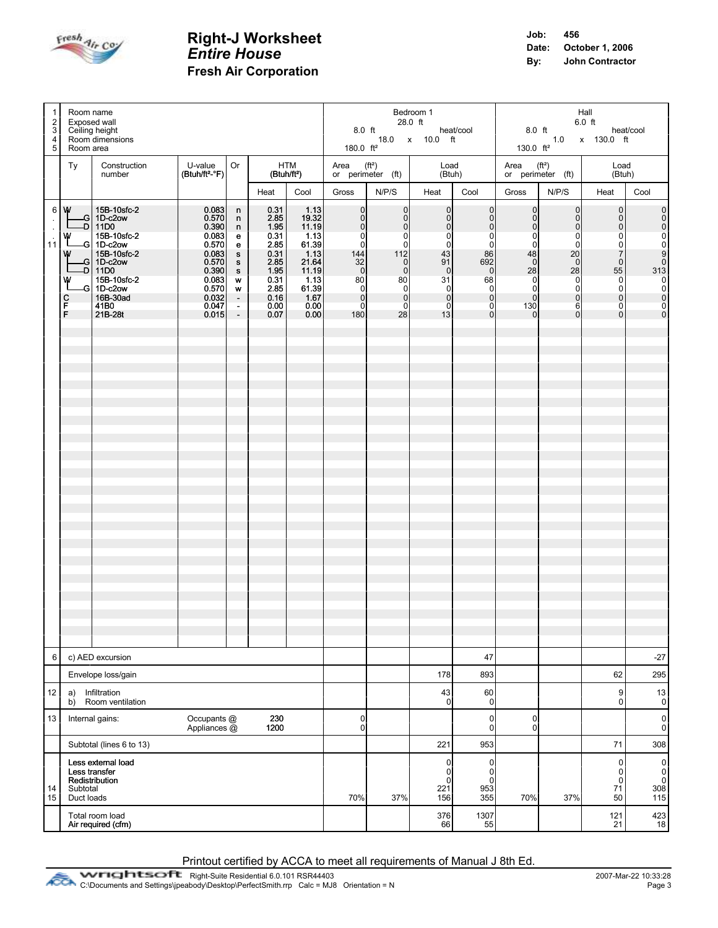

| $\overline{1}$<br>$\overline{2}$<br>3 |                                                                     | Room name<br>Exposed wall<br>Ceiling height                                                                                                                                |                                                                                                                   | Bedroom 1<br>28.0 ft<br>8.0 ft<br>18.0 x 10.0 ft                            |                                                                                                      |                                                                                                            |                                                                                                                                                                                                       | Hall<br>$6.0$ ft<br>8.0 ft<br>heat/cool<br>1.0 x 130.0 ft                                           |                                                                                                                                                     |                                                                                                                                                                      |                                                                                                                                                              |                                                                                                                                                               |                                                                                                                                                                                                                 |                                                                                        |
|---------------------------------------|---------------------------------------------------------------------|----------------------------------------------------------------------------------------------------------------------------------------------------------------------------|-------------------------------------------------------------------------------------------------------------------|-----------------------------------------------------------------------------|------------------------------------------------------------------------------------------------------|------------------------------------------------------------------------------------------------------------|-------------------------------------------------------------------------------------------------------------------------------------------------------------------------------------------------------|-----------------------------------------------------------------------------------------------------|-----------------------------------------------------------------------------------------------------------------------------------------------------|----------------------------------------------------------------------------------------------------------------------------------------------------------------------|--------------------------------------------------------------------------------------------------------------------------------------------------------------|---------------------------------------------------------------------------------------------------------------------------------------------------------------|-----------------------------------------------------------------------------------------------------------------------------------------------------------------------------------------------------------------|----------------------------------------------------------------------------------------|
| 4<br>5                                | Room area                                                           | Room dimensions                                                                                                                                                            |                                                                                                                   |                                                                             |                                                                                                      |                                                                                                            | 180.0 $ft^2$                                                                                                                                                                                          |                                                                                                     |                                                                                                                                                     |                                                                                                                                                                      | 130.0 $ft^2$                                                                                                                                                 |                                                                                                                                                               |                                                                                                                                                                                                                 |                                                                                        |
|                                       | Ty                                                                  | Construction<br>number                                                                                                                                                     | U-value   Or<br>$(Btuh/ft2-oF)$                                                                                   |                                                                             | HTM<br>(Btuh/ft <sup>2</sup> )                                                                       |                                                                                                            | Area $(ft^2)$                                                                                                                                                                                         | or perimeter (ft)                                                                                   | Load<br>(Btuh)                                                                                                                                      |                                                                                                                                                                      | Area $(ft^2)$                                                                                                                                                | or perimeter $(ft)$                                                                                                                                           | Load<br>(Btuh)                                                                                                                                                                                                  |                                                                                        |
|                                       |                                                                     |                                                                                                                                                                            |                                                                                                                   |                                                                             | Heat                                                                                                 | Cool                                                                                                       | Gross                                                                                                                                                                                                 | N/P/S                                                                                               | Heat                                                                                                                                                | Cool                                                                                                                                                                 | Gross                                                                                                                                                        | N/P/S                                                                                                                                                         | Heat                                                                                                                                                                                                            | Cool                                                                                   |
| 6 <br>$\mathcal{L}$<br>11             | w<br>w<br>w<br>с<br>F<br>F                                          | 15B-10sfc-2<br>-G  1D-c2ow<br>-D 11D0<br>15B-10sfc-2<br>$-G$ 1D-c2ow<br>15B-10sfc-2<br>$-G$ 1D-c2ow<br>-D 11D0<br>15B-10sfc-2<br>-G 1D-c2ow<br>16B-30ad<br>41B0<br>21B-28t | 0.083<br>0.570<br>0.390<br>0.083<br>0.570<br>0.083<br>0.570<br>0.390<br>0.083<br>0.570<br>0.032<br>0.047<br>0.015 | n<br>n<br>n<br>e<br>e<br>s<br>s<br>S<br>w<br>W<br>$\sim$<br>$\frac{1}{\pi}$ | 0.31<br>2.85<br>1.95<br>0.31<br>2.85<br>0.31<br>2.85<br>1.95<br>0.31<br>2.85<br>0.16<br>0.00<br>0.07 | 1.13<br>19.32<br>11.19<br>1.13<br>61.39<br>1.13<br>21.64<br>11.19<br>1.13<br>61.39<br>1.67<br>0.00<br>0.00 | $\begin{bmatrix} 0 \\ 0 \end{bmatrix}$<br>$\Omega$<br>$\overline{0}$<br>$\Omega$<br>144<br>$\begin{bmatrix} 32 \\ 0 \end{bmatrix}$<br>80<br>$\overline{0}$<br>$\overline{0}$<br>$\overline{0}$<br>180 | 0 <br> 0 <br>$\overline{0}$<br> 0 <br>0l<br>112<br> 0 <br> 0 <br>80<br> 0 <br> 0 <br>$\Omega$<br>28 | $\overline{0}$<br> 0 <br>$\overline{0}$<br> 0 <br>0<br>43<br>91<br>$\overline{0}$<br>31<br>$\overline{0}$<br>$\overline{0}$<br>$\overline{0}$<br>13 | $\pmb{0}$<br>$\mathsf{O}\xspace$<br>$\pmb{0}$<br>$\mathbf 0$<br>$\pmb{0}$<br>86<br>692<br>$\pmb{0}$<br>68<br>$\pmb{0}$<br>$\mathbf 0$<br>$\mathbf 0$<br>$\mathbf{0}$ | $\overline{0}$<br>$\overline{0}$<br>$\overline{0}$<br> 0 <br>$\overline{0}$<br>48<br>$\overline{0}$<br>28<br> 0 <br>$\overline{0}$<br> 0 <br>130<br>$\Omega$ | $\overline{0}$<br>$\overline{0}$<br>$\Omega$<br>$\Omega$<br>$\Omega$<br>20<br>$\Omega$<br>28<br>$\overline{0}$<br>$\overline{0}$<br>$\Omega$<br>6<br>$\Omega$ | $\mathsf{O}\xspace$<br> 0 <br>$\overline{0}$<br>$\overline{0}$<br>$\boldsymbol{0}$<br>$\overline{7}$<br>$\overline{0}$<br>55<br>$\begin{matrix} 0 \\ 0 \end{matrix}$<br> 0 <br>$\overline{0}$<br>$\overline{0}$ | $\begin{array}{c}\n\mathbf{a} \\ \mathbf{b} \\ \mathbf{c}\n\end{array}$<br>$rac{1}{2}$ |
| 6                                     |                                                                     | c) AED excursion                                                                                                                                                           |                                                                                                                   |                                                                             |                                                                                                      |                                                                                                            |                                                                                                                                                                                                       |                                                                                                     |                                                                                                                                                     | 47                                                                                                                                                                   |                                                                                                                                                              |                                                                                                                                                               |                                                                                                                                                                                                                 | $-27$                                                                                  |
|                                       |                                                                     | Envelope loss/gain                                                                                                                                                         |                                                                                                                   |                                                                             |                                                                                                      |                                                                                                            |                                                                                                                                                                                                       |                                                                                                     | 178                                                                                                                                                 | 893                                                                                                                                                                  |                                                                                                                                                              |                                                                                                                                                               | 62                                                                                                                                                                                                              | 295                                                                                    |
| 12                                    | a)<br>b)                                                            | Infiltration<br>Room ventilation                                                                                                                                           |                                                                                                                   |                                                                             |                                                                                                      |                                                                                                            | $\overline{0}$                                                                                                                                                                                        |                                                                                                     | 43<br>$\overline{0}$                                                                                                                                | 60<br>$\mathbf 0$                                                                                                                                                    |                                                                                                                                                              |                                                                                                                                                               | 9<br>0                                                                                                                                                                                                          | 13<br>$\pmb{0}$                                                                        |
|                                       | Occupants @<br>13<br>Internal gains:<br>230<br>Appliances @<br>1200 |                                                                                                                                                                            |                                                                                                                   |                                                                             |                                                                                                      |                                                                                                            |                                                                                                                                                                                                       | $\overline{0}$                                                                                      |                                                                                                                                                     | 0<br>0                                                                                                                                                               | $\mathbf 0$<br>$\pmb{0}$                                                                                                                                     |                                                                                                                                                               |                                                                                                                                                                                                                 | $\pmb{0}$<br>$\mathbf{0}$                                                              |
|                                       |                                                                     | Subtotal (lines 6 to 13)                                                                                                                                                   |                                                                                                                   |                                                                             |                                                                                                      |                                                                                                            |                                                                                                                                                                                                       |                                                                                                     | 221                                                                                                                                                 | 953                                                                                                                                                                  |                                                                                                                                                              |                                                                                                                                                               | 71                                                                                                                                                                                                              | 308                                                                                    |
| 14<br>15                              | Subtotal<br>Duct loads                                              | Less external load<br>Less transfer<br>Redistribution                                                                                                                      |                                                                                                                   |                                                                             |                                                                                                      |                                                                                                            | 70%                                                                                                                                                                                                   | 37%                                                                                                 | $\overline{0}$<br>$\overline{0}$<br>$\overline{0}$<br>221<br>156                                                                                    | 0<br>0<br>$\mathbf 0$<br>953<br>355                                                                                                                                  | 70%                                                                                                                                                          | 37%                                                                                                                                                           | $\pmb{0}$<br>$\pmb{0}$<br>$\mathbf 0$<br>71<br>50                                                                                                                                                               | $\overline{0}$<br>$_{\rm 0}^{\rm 0}$<br>308<br>115                                     |
|                                       |                                                                     | Total room load<br>Air required (cfm)                                                                                                                                      |                                                                                                                   |                                                                             |                                                                                                      |                                                                                                            |                                                                                                                                                                                                       |                                                                                                     | 376<br>66                                                                                                                                           | 1307<br>55                                                                                                                                                           |                                                                                                                                                              |                                                                                                                                                               | 121<br>21                                                                                                                                                                                                       | $\begin{array}{c} 423 \\ 18 \end{array}$                                               |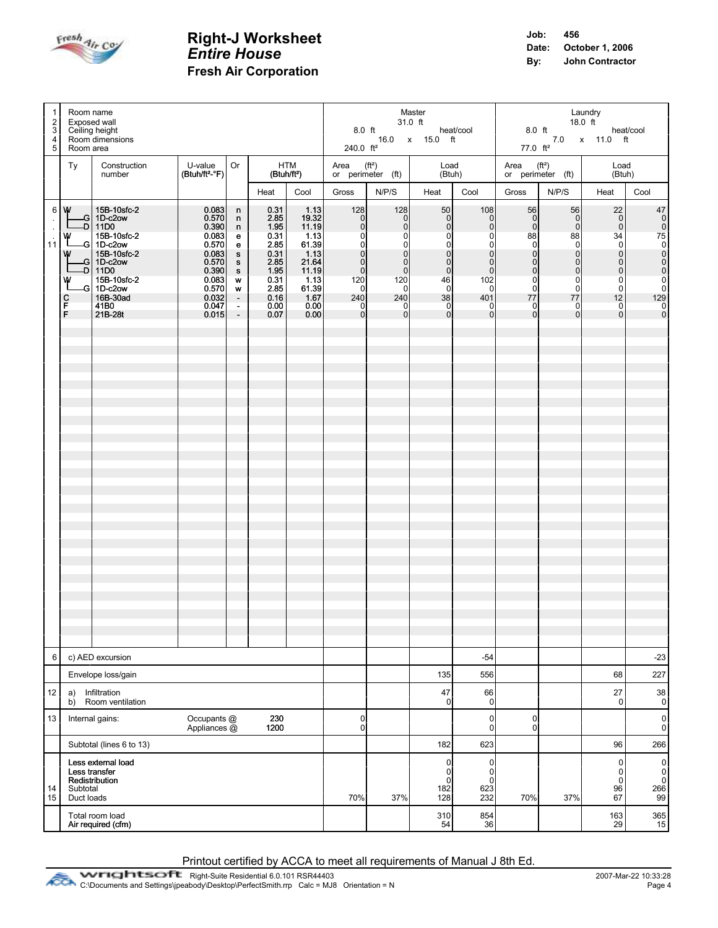

| $\overline{1}$<br>$\overline{2}$<br>3<br>$\begin{array}{c} 4 \\ 5 \end{array}$ |                                                                                 | Room name<br>Exposed wall<br>Ceiling height<br>Room dimensions                                                                                                                      |                                                                                                                       |                                                                                                               | Master<br>31.0 ft<br>8.0 ft heat/cool<br>16.0 x 15.0 ft<br>240.0 ft <sup>2</sup>                     |                                                                                                            |                                                                                                                                  |                                                                                                                 |                                                                                                                                                                              | Laundry<br>18.0 ft<br>$8.0$ ft $\qquad \qquad$ heat/cool<br>7.0 x 11.0 ft<br>77.0 ft <sup>2</sup>                                                                                     |                                                                                                                                                                      |                                                                                                                                                                      |                                                                                                                                                                       |                                                                                                                                         |
|--------------------------------------------------------------------------------|---------------------------------------------------------------------------------|-------------------------------------------------------------------------------------------------------------------------------------------------------------------------------------|-----------------------------------------------------------------------------------------------------------------------|---------------------------------------------------------------------------------------------------------------|------------------------------------------------------------------------------------------------------|------------------------------------------------------------------------------------------------------------|----------------------------------------------------------------------------------------------------------------------------------|-----------------------------------------------------------------------------------------------------------------|------------------------------------------------------------------------------------------------------------------------------------------------------------------------------|---------------------------------------------------------------------------------------------------------------------------------------------------------------------------------------|----------------------------------------------------------------------------------------------------------------------------------------------------------------------|----------------------------------------------------------------------------------------------------------------------------------------------------------------------|-----------------------------------------------------------------------------------------------------------------------------------------------------------------------|-----------------------------------------------------------------------------------------------------------------------------------------|
|                                                                                | Room area<br>Ty                                                                 | Construction                                                                                                                                                                        | U-value                                                                                                               | Or                                                                                                            |                                                                                                      | HTM                                                                                                        | Area $(ft^2)$                                                                                                                    |                                                                                                                 |                                                                                                                                                                              | Load                                                                                                                                                                                  | Area $(ft^2)$                                                                                                                                                        |                                                                                                                                                                      | Load                                                                                                                                                                  |                                                                                                                                         |
|                                                                                |                                                                                 | number                                                                                                                                                                              | (Btuh/ft <sup>2</sup> -°F)                                                                                            |                                                                                                               |                                                                                                      | (Btuh/ft <sup>2</sup> )                                                                                    |                                                                                                                                  | or perimeter $(ft)$                                                                                             |                                                                                                                                                                              | (Btuh)                                                                                                                                                                                |                                                                                                                                                                      | or perimeter (ft)                                                                                                                                                    | (Btuh)                                                                                                                                                                |                                                                                                                                         |
|                                                                                |                                                                                 |                                                                                                                                                                                     |                                                                                                                       |                                                                                                               | Heat                                                                                                 | Cool                                                                                                       | Gross                                                                                                                            | N/P/S                                                                                                           | Heat                                                                                                                                                                         | Cool                                                                                                                                                                                  | Gross                                                                                                                                                                | N/P/S                                                                                                                                                                | Heat                                                                                                                                                                  | Cool                                                                                                                                    |
| $\ddot{\phantom{a}}$<br>$\sim$<br>$\overline{\mathbf{1}}$                      | 6 W<br>w<br>w<br>w<br>с<br>F.<br>F                                              | 15B-10sfc-2<br>-G 1D-c2ow<br>-D 11D0<br>15B-10sfc-2<br>-G 1D-c2ow<br>15B-10sfc-2<br>$-G$ 1D-c2ow<br>$\overline{D}$ 11D0<br>15B-10sfc-2<br>-G 1D-c2ow<br>16B-30ad<br>41B0<br>21B-28t | 0.083<br>0.570<br>0.390<br>0.083<br>0.570<br>0.083<br>0.570<br>0.390<br>$0.083$<br>$0.570$<br>0.032<br>0.047<br>0.015 | n<br>n.<br>n.<br>e<br>e<br>s<br>s<br>s<br>W<br>$\boldsymbol{\mathsf{w}}$<br>$\blacksquare$<br>$\frac{1}{\pi}$ | 0.31<br>2.85<br>1.95<br>0.31<br>2.85<br>0.31<br>2.85<br>1.95<br>0.31<br>2.85<br>0.16<br>0.00<br>0.07 | 1.13<br>19.32<br>11.19<br>1.13<br>61.39<br>1.13<br>21.64<br>11.19<br>1.13<br>61.39<br>1.67<br>0.00<br>0.00 | 128<br> 0 <br>$\Omega$<br>$\Omega$<br> 0 <br>$\Omega$<br>$\overline{0}$<br> 0 <br>120<br>0l<br>240<br>$\overline{0}$<br>$\Omega$ | 128<br> 0 <br> 0 <br>οl<br>$\circ$<br>$\Omega$<br> 0 <br>$\overline{0}$<br>120<br>-01<br>240<br>-01<br>$\Omega$ | 50<br>$\overline{0}$<br> 0 <br>$\overline{0}$<br>$\overline{0}$<br>$\overline{0}$<br>$\overline{0}$<br> 0 <br>46<br>$\overline{0}$<br>38<br>$\overline{0}$<br>$\overline{0}$ | 108<br>$\overline{0}$<br>$\overline{0}$<br>$\mathbf 0$<br>$\pmb{0}$<br>$\mathbf 0$<br>$\pmb{0}$<br>$\overline{0}$<br>102<br>$\overline{0}$<br>401<br>$\overline{0}$<br>$\overline{0}$ | 56<br>$\overline{0}$<br>$\overline{0}$<br>88<br>$\overline{0}$<br> 0 <br>$\overline{0}$<br> 0 <br>$\overline{0}$<br>$\overline{0}$<br>77<br>$\mathbf{0}$<br>$\Omega$ | 56<br>$\overline{0}$<br>$\Omega$<br>88<br>$\overline{0}$<br>$\overline{0}$<br>$\overline{0}$<br>$\overline{0}$<br>$\overline{0}$<br>$\Omega$<br>77<br>0l<br>$\Omega$ | 22<br> 0 <br> 0 <br>34<br>$\overline{0}$<br>$\overline{0}$<br>$\overline{0}$<br>$\overline{0}$<br>$\begin{bmatrix} 0 \\ 0 \end{bmatrix}$<br>12<br>0<br>$\overline{0}$ | $\begin{bmatrix} 47 \\ 0 \\ 0 \end{bmatrix}$<br>75<br>0<br>0<br>0<br>0<br>0<br>0<br>0<br>0<br>0<br>0<br>0<br>0<br>0<br>0<br>0<br>0<br>0 |
| 6                                                                              |                                                                                 | c) AED excursion                                                                                                                                                                    |                                                                                                                       |                                                                                                               |                                                                                                      |                                                                                                            |                                                                                                                                  |                                                                                                                 |                                                                                                                                                                              | $-54$                                                                                                                                                                                 |                                                                                                                                                                      |                                                                                                                                                                      |                                                                                                                                                                       | $-23$                                                                                                                                   |
|                                                                                |                                                                                 | Envelope loss/gain                                                                                                                                                                  |                                                                                                                       |                                                                                                               |                                                                                                      |                                                                                                            |                                                                                                                                  |                                                                                                                 | 135                                                                                                                                                                          | 556                                                                                                                                                                                   |                                                                                                                                                                      |                                                                                                                                                                      | 68                                                                                                                                                                    | 227                                                                                                                                     |
| 12                                                                             | a)<br>b)                                                                        | Infiltration<br>Room ventilation                                                                                                                                                    |                                                                                                                       |                                                                                                               |                                                                                                      |                                                                                                            |                                                                                                                                  |                                                                                                                 | 47<br>$\overline{0}$                                                                                                                                                         | 66<br>0                                                                                                                                                                               |                                                                                                                                                                      |                                                                                                                                                                      | 27<br>$\mathbf 0$                                                                                                                                                     | $38\,$<br>$\mathbf{0}$                                                                                                                  |
| 13                                                                             | Occupants @<br>230<br>Internal gains:<br>1200<br>Appliances @                   |                                                                                                                                                                                     |                                                                                                                       |                                                                                                               |                                                                                                      |                                                                                                            | $\overline{0}$<br> 0                                                                                                             |                                                                                                                 |                                                                                                                                                                              | 0<br>0                                                                                                                                                                                | $\pmb{0}$<br>$\pmb{0}$                                                                                                                                               |                                                                                                                                                                      |                                                                                                                                                                       | $\pmb{0}$<br>$\mathbf{0}$                                                                                                               |
|                                                                                |                                                                                 | Subtotal (lines 6 to 13)                                                                                                                                                            |                                                                                                                       |                                                                                                               |                                                                                                      |                                                                                                            |                                                                                                                                  |                                                                                                                 | 182                                                                                                                                                                          | 623                                                                                                                                                                                   |                                                                                                                                                                      |                                                                                                                                                                      | 96                                                                                                                                                                    | 266                                                                                                                                     |
| 14<br>15                                                                       | Less external load<br>Less transfer<br>Redistribution<br>Subtotal<br>Duct loads |                                                                                                                                                                                     |                                                                                                                       |                                                                                                               |                                                                                                      |                                                                                                            | 70%                                                                                                                              | 37%                                                                                                             | 0<br>0<br>$\mathbf 0$<br>182<br>128                                                                                                                                          | 0<br>0<br>0<br>623<br>232                                                                                                                                                             | 70%                                                                                                                                                                  | 37%                                                                                                                                                                  | $\pmb{0}$<br>0<br>$\ddot{\mathbf{0}}$<br>96<br>67                                                                                                                     | $\pmb{0}$<br>$_{\rm 0}^{\rm 0}$<br>266<br>99                                                                                            |
|                                                                                |                                                                                 | Total room load<br>Air required (cfm)                                                                                                                                               |                                                                                                                       |                                                                                                               |                                                                                                      |                                                                                                            |                                                                                                                                  |                                                                                                                 | 310<br>54                                                                                                                                                                    | 854<br>36                                                                                                                                                                             |                                                                                                                                                                      |                                                                                                                                                                      | 163<br>29                                                                                                                                                             | $\begin{array}{c} 365 \\ 15 \end{array}$                                                                                                |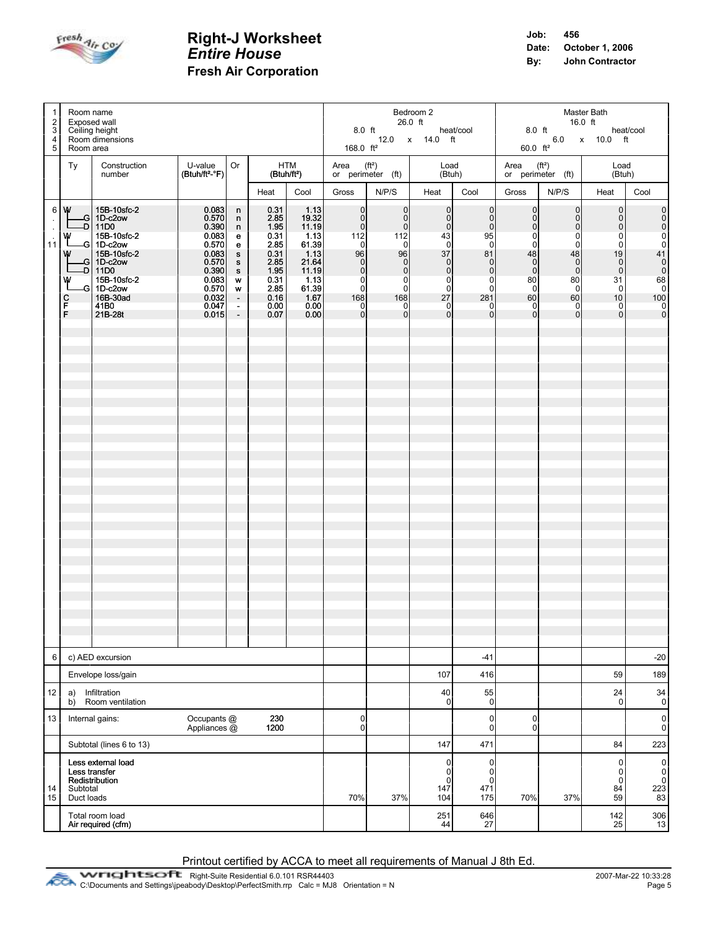

| $\mathbf{1}$<br>$\overline{2}$<br>3<br>4<br>5 | Room name<br>Room area               | Exposed wall<br>Ceiling height<br>Room dimensions                                                                                                                        |                                                                                                                   | Bedroom 2<br>26.0 ft<br>8.0 ft heat/cool<br>12.0 x 14.0 ft<br>168.0 $ft^2$                                         |                                                                                                      |                                                                                                            |                                                                                                                                      | Master Bath<br>16.0 ft<br>8.0 ft heat/c<br>6.0 x 10.0 ft<br>heat/cool<br>60.0 $ft^2$                                             |                                                                                                                                                                |                                                                                                                                                                                 |                                                                                                                                                                                              |                                                                                                                                                                    |                                                                                                                                                                             |                                                                          |
|-----------------------------------------------|--------------------------------------|--------------------------------------------------------------------------------------------------------------------------------------------------------------------------|-------------------------------------------------------------------------------------------------------------------|--------------------------------------------------------------------------------------------------------------------|------------------------------------------------------------------------------------------------------|------------------------------------------------------------------------------------------------------------|--------------------------------------------------------------------------------------------------------------------------------------|----------------------------------------------------------------------------------------------------------------------------------|----------------------------------------------------------------------------------------------------------------------------------------------------------------|---------------------------------------------------------------------------------------------------------------------------------------------------------------------------------|----------------------------------------------------------------------------------------------------------------------------------------------------------------------------------------------|--------------------------------------------------------------------------------------------------------------------------------------------------------------------|-----------------------------------------------------------------------------------------------------------------------------------------------------------------------------|--------------------------------------------------------------------------|
|                                               | Ty                                   | Construction<br>number                                                                                                                                                   | U-value<br>$(Btuh/ft2-oF)$                                                                                        | Or                                                                                                                 |                                                                                                      | HTM<br>(Btuh/ft <sup>2</sup> )                                                                             | Area<br>(f t <sup>2</sup> )<br>or perimeter (ft) $\vert$                                                                             |                                                                                                                                  | Load                                                                                                                                                           | (Btuh)                                                                                                                                                                          | Area $(ft^2)$                                                                                                                                                                                | or perimeter (ft)                                                                                                                                                  | Load<br>(Btuh)                                                                                                                                                              |                                                                          |
|                                               |                                      |                                                                                                                                                                          |                                                                                                                   |                                                                                                                    | Heat                                                                                                 | Cool                                                                                                       | Gross                                                                                                                                | N/P/S                                                                                                                            | Heat                                                                                                                                                           | Cool                                                                                                                                                                            | Gross                                                                                                                                                                                        | N/P/S                                                                                                                                                              | Heat                                                                                                                                                                        | Cool                                                                     |
| $\ddot{\phantom{1}}$<br>$\epsilon$<br>11      | 6   W<br>w<br>w<br>w<br>с<br>F<br>F. | 15B-10sfc-2<br>-G 1D-c2ow<br>-D 11D0<br>15B-10sfc-2<br>-G 1D-c2ow<br>15B-10sfc-2<br>$G$ 1D-c2ow<br>-D   11D0<br>15B-10sfc-2<br>-G 1D-c2ow<br>16B-30ad<br>41B0<br>21B-28t | 0.083<br>0.570<br>0.390<br>0.083<br>0.570<br>0.083<br>0.570<br>0.390<br>0.083<br>0.570<br>0.032<br>0.047<br>0.015 | n<br>n<br>n<br>e<br>e<br>$\mathbf{s}$<br>$\mathbf{s}$<br>s.<br>W<br>w<br>$\mathcal{A}$<br>$\sim$<br>$\blacksquare$ | 0.31<br>2.85<br>1.95<br>0.31<br>2.85<br>0.31<br>2.85<br>1.95<br>0.31<br>2.85<br>0.16<br>0.00<br>0.07 | 1.13<br>19.32<br>11.19<br>1.13<br>61.39<br>1.13<br>21.64<br>11.19<br>1.13<br>61.39<br>1.67<br>0.00<br>0.00 | $\overline{0}$<br> 0 <br> 0 <br>112<br>0l<br>96<br>$\Omega$<br>$\Omega$<br>$\overline{0}$<br>$\Omega$<br>168<br>$\overline{0}$<br> 0 | 0l<br> 0 <br> 0 <br>112<br>-01<br>96<br> 0 <br>$\overline{0}$<br>$\overline{0}$<br>$\Omega$<br>168<br>$\overline{0}$<br>$\Omega$ | $\overline{0}$<br>$\overline{0}$<br> 0 <br>43<br>$\Omega$<br>37<br>$\frac{0}{0}$<br>$\overline{0}$<br>$\overline{0}$<br>27<br>$\overline{0}$<br>$\overline{0}$ | $\overline{0}$<br>$\mathbf 0$<br>$\mathbf 0$<br>95<br>$\overline{0}$<br>81<br>$\overline{0}$<br>$\pmb{0}$<br>$\mathbf 0$<br>$\Omega$<br>281<br>$\overline{0}$<br>$\overline{0}$ | $\overline{0}$<br>$\overline{0}$<br>$\overline{0}$<br>$\overline{0}$<br>$\overline{0}$<br>48<br>$\overline{0}$<br>$\overline{0}$<br>80<br>$\overline{0}$<br>60<br>$\Omega$<br>$\overline{0}$ | $\overline{0}$<br>$\overline{0}$<br>$\overline{0}$<br>$\Omega$<br>$\Omega$<br>48<br>$\overline{0}$<br>$\Omega$<br>80<br><sup>0</sup><br>60<br>$\Omega$<br>$\Omega$ | $\overline{0}$<br>$\begin{bmatrix} 0 \\ 0 \end{bmatrix}$<br>$\overline{0}$<br>0<br>19<br>$\overline{0}$<br>$\overline{0}$<br>31<br>$\mathbf 0$<br>10<br>0<br>$\overline{0}$ | 0000.<br>41<br>$\frac{1}{100}$<br>$\begin{bmatrix} 0 \\ 0 \end{bmatrix}$ |
| 6                                             |                                      | c) AED excursion                                                                                                                                                         |                                                                                                                   |                                                                                                                    |                                                                                                      |                                                                                                            |                                                                                                                                      |                                                                                                                                  |                                                                                                                                                                | $-41$                                                                                                                                                                           |                                                                                                                                                                                              |                                                                                                                                                                    |                                                                                                                                                                             | $-20$                                                                    |
|                                               |                                      | Envelope loss/gain                                                                                                                                                       |                                                                                                                   |                                                                                                                    |                                                                                                      |                                                                                                            |                                                                                                                                      |                                                                                                                                  | 107                                                                                                                                                            | 416                                                                                                                                                                             |                                                                                                                                                                                              |                                                                                                                                                                    | 59                                                                                                                                                                          | 189                                                                      |
| 12                                            | a)<br>b)                             | Infiltration<br>Room ventilation                                                                                                                                         |                                                                                                                   |                                                                                                                    |                                                                                                      |                                                                                                            |                                                                                                                                      |                                                                                                                                  | 40<br>0                                                                                                                                                        | 55<br>$\mathbf 0$                                                                                                                                                               |                                                                                                                                                                                              |                                                                                                                                                                    | 24<br>$\mathbf 0$                                                                                                                                                           | 34<br>$\pmb{0}$                                                          |
| 13                                            |                                      | Internal gains:                                                                                                                                                          | Occupants @<br>Appliances @                                                                                       |                                                                                                                    | 230<br>1200                                                                                          |                                                                                                            | $\overline{0}$<br>$\overline{0}$                                                                                                     |                                                                                                                                  |                                                                                                                                                                | 0<br>$\pmb{0}$                                                                                                                                                                  | $\mathbf 0$<br>$\mathbf{0}$                                                                                                                                                                  |                                                                                                                                                                    |                                                                                                                                                                             | $\pmb{0}$<br>0                                                           |
|                                               |                                      | Subtotal (lines 6 to 13)                                                                                                                                                 |                                                                                                                   |                                                                                                                    |                                                                                                      |                                                                                                            |                                                                                                                                      |                                                                                                                                  | 147                                                                                                                                                            | 471                                                                                                                                                                             |                                                                                                                                                                                              |                                                                                                                                                                    | 84                                                                                                                                                                          | 223                                                                      |
| 14<br>15                                      | Subtotal<br>Duct loads               | Less external load<br>Less transfer<br>Redistribution                                                                                                                    |                                                                                                                   |                                                                                                                    |                                                                                                      |                                                                                                            | 70%                                                                                                                                  | 37%                                                                                                                              | $\overline{0}$<br>0<br>$\mathbf 0$<br>147<br>104                                                                                                               | 0<br>$\pmb{0}$<br>$\mathbf 0$<br>471<br>175                                                                                                                                     | 70%                                                                                                                                                                                          | 37%                                                                                                                                                                | $\pmb{0}$<br>$\pmb{0}$<br>$\pmb{0}$<br>84<br>59                                                                                                                             | $\pmb{0}$<br>$\pmb{0}$<br>$\pmb{0}$<br>223<br>83                         |
|                                               |                                      | Total room load<br>Air required (cfm)                                                                                                                                    |                                                                                                                   |                                                                                                                    |                                                                                                      |                                                                                                            |                                                                                                                                      |                                                                                                                                  | 251<br>44                                                                                                                                                      | 646<br>27                                                                                                                                                                       |                                                                                                                                                                                              |                                                                                                                                                                    | 142<br>25                                                                                                                                                                   | $\begin{array}{c} 306 \\ 13 \end{array}$                                 |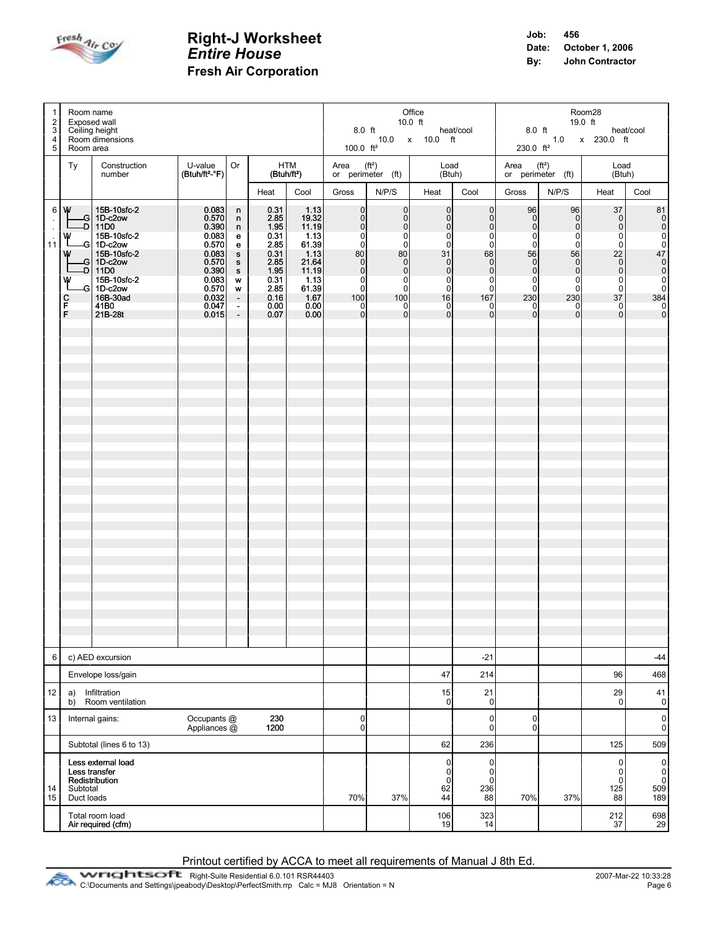

| $\overline{1}$<br>2<br>3 <br>4<br>5 <sup>1</sup>         | Room name<br>Exposed wall<br>Ceiling height<br>Room dimensions                                                                                                                                                      |                                                                                                                   | Office<br>$10.0$ ft<br>8.0 ft    beat/cool    excess    beat/cool    excess    beat/cool    excess    beat/cool<br>10.0 x 10.0 ft                                                               |                                                                                                            |                                                                                                            |                                                                                                                                                       | Room28<br>19.0 ft<br>$1.0 \times 230.0 \text{ ft}$<br>230.0 ft <sup>2</sup>                                                                                                                    |                                                                                                                                                                                                  |                                                                                                                                                                                         |                                                                                                                                                          |                                                                                                                                                                       |                                                                                                                                   |  |
|----------------------------------------------------------|---------------------------------------------------------------------------------------------------------------------------------------------------------------------------------------------------------------------|-------------------------------------------------------------------------------------------------------------------|-------------------------------------------------------------------------------------------------------------------------------------------------------------------------------------------------|------------------------------------------------------------------------------------------------------------|------------------------------------------------------------------------------------------------------------|-------------------------------------------------------------------------------------------------------------------------------------------------------|------------------------------------------------------------------------------------------------------------------------------------------------------------------------------------------------|--------------------------------------------------------------------------------------------------------------------------------------------------------------------------------------------------|-----------------------------------------------------------------------------------------------------------------------------------------------------------------------------------------|----------------------------------------------------------------------------------------------------------------------------------------------------------|-----------------------------------------------------------------------------------------------------------------------------------------------------------------------|-----------------------------------------------------------------------------------------------------------------------------------|--|
|                                                          | Room area<br>Construction<br>Ty                                                                                                                                                                                     | 100.0 $ft^2$<br>Area $(ft^2)$<br>Load                                                                             |                                                                                                                                                                                                 |                                                                                                            |                                                                                                            | Area (ft <sup>2</sup> )<br>Load                                                                                                                       |                                                                                                                                                                                                |                                                                                                                                                                                                  |                                                                                                                                                                                         |                                                                                                                                                          |                                                                                                                                                                       |                                                                                                                                   |  |
|                                                          | number                                                                                                                                                                                                              | U-value<br>$(Btuh/ft2-oF)$                                                                                        | Or                                                                                                                                                                                              | HTM<br>(Btuh/ft <sup>2</sup> )                                                                             |                                                                                                            | or perimeter $(ft)$                                                                                                                                   |                                                                                                                                                                                                | (Btuh)                                                                                                                                                                                           |                                                                                                                                                                                         | or perimeter $(ft)$                                                                                                                                      |                                                                                                                                                                       | (Btuh)                                                                                                                            |  |
|                                                          |                                                                                                                                                                                                                     |                                                                                                                   | Heat                                                                                                                                                                                            | Cool                                                                                                       | Gross                                                                                                      | N/P/S                                                                                                                                                 | Heat                                                                                                                                                                                           | Cool                                                                                                                                                                                             | Gross                                                                                                                                                                                   | N/P/S                                                                                                                                                    | Heat                                                                                                                                                                  | Cool                                                                                                                              |  |
| $\mathbb{Z}^2$<br>$\bar{\mathcal{A}}$<br>$\overline{11}$ | 6   W<br>15B-10sfc-2<br>$-G$ 1D-c2ow<br>$-D$ 11D0<br>15B-10sfc-2<br>w<br>-G 1D-c2ow<br>15B-10sfc-2<br>W<br>$-G$ 1D-c2ow<br>-D 11D0<br>15B-10sfc-2<br>w<br>-G 1D-c2ow<br>16B-30ad<br>с<br>F<br>41B0<br>F.<br>21B-28t | 0.083<br>0.570<br>0.390<br>0.083<br>0.570<br>0.083<br>0.570<br>0.390<br>0.083<br>0.570<br>0.032<br>0.047<br>0.015 | 0.31<br>n<br>2.85<br>n<br>1.95<br>n<br>0.31<br>e<br>2.85<br>e<br>0.31<br>$\mathbf{s}$<br>2.85<br>s<br>1.95<br>S<br>0.31<br>W<br>2.85<br>W<br>0.16<br>$\sim$<br>0.00<br>$\sim$<br>$\sim$<br>0.07 | 1.13<br>19.32<br>11.19<br>1.13<br>61.39<br>1.13<br>21.64<br>11.19<br>1.13<br>61.39<br>1.67<br>0.00<br>0.00 | 0l<br> 0 <br>0l<br>$\Omega$<br>0l<br>80<br>0l<br>$\Omega$<br>$\overline{0}$<br>0l<br>100<br>$\Omega$<br> 0 | 0 <br> 0 <br>$\overline{0}$<br>$\Omega$<br>$\overline{0}$<br>80<br> 0 <br>$\overline{0}$<br>$\overline{0}$<br>$\overline{0}$<br>100<br>0I<br>$\Omega$ | $\overline{0}$<br>$\overline{0}$<br>$\overline{0}$<br>$\mathbf 0$<br>$\overline{0}$<br>31<br>$\overline{0}$<br>$\overline{0}$<br>$\overline{0}$<br>$\overline{0}$<br>16<br>0<br>$\overline{0}$ | $\mathbf 0$<br>$\overline{0}$<br>$\mathbf 0$<br>$\mathbf 0$<br>$\overline{0}$<br>68<br>$\mathbf 0$<br>$\mathbf 0$<br>$\overline{0}$<br>$\overline{0}$<br>167<br>$\overline{0}$<br>$\overline{0}$ | 96<br>$\overline{0}$<br>$\overline{0}$<br>$\overline{0}$<br>$\overline{0}$<br>56<br>$\overline{0}$<br>$\overline{0}$<br>$\overline{0}$<br>$\overline{0}$<br>230<br>$\Omega$<br>$\Omega$ | 96<br>$\overline{0}$<br>$\overline{0}$<br>$\Omega$<br>$\Omega$<br>56<br>$\overline{0}$<br>$\overline{0}$<br>$\Omega$<br>$\Omega$<br>230<br>0<br>$\Omega$ | 37<br> 0 <br> 0 <br>$\overline{0}$<br>$\overline{0}$<br>22<br>$\overline{0}$<br>$\overline{\phantom{0}}$<br>$\pmb{0}$<br>$\overline{0}$<br>37<br>$\overline{0}$<br> 0 | 81<br> 0 <br> 0 <br>$\begin{matrix}0\\0\\0\\47\end{matrix}$<br>$\begin{array}{c}\n 1 \\  0 \\  0 \\  0 \\  0\n \end{array}$<br> 0 |  |
| 6                                                        | c) AED excursion                                                                                                                                                                                                    |                                                                                                                   |                                                                                                                                                                                                 |                                                                                                            | $-21$                                                                                                      |                                                                                                                                                       |                                                                                                                                                                                                |                                                                                                                                                                                                  | -44                                                                                                                                                                                     |                                                                                                                                                          |                                                                                                                                                                       |                                                                                                                                   |  |
| 12                                                       | Envelope loss/gain<br>Infiltration<br>a)                                                                                                                                                                            |                                                                                                                   |                                                                                                                                                                                                 | 47<br>15                                                                                                   | 214<br>21                                                                                                  |                                                                                                                                                       |                                                                                                                                                                                                | 96<br>29                                                                                                                                                                                         | 468<br>41                                                                                                                                                                               |                                                                                                                                                          |                                                                                                                                                                       |                                                                                                                                   |  |
|                                                          | Room ventilation<br>b)                                                                                                                                                                                              |                                                                                                                   |                                                                                                                                                                                                 | $\Omega$                                                                                                   | $\pmb{0}$                                                                                                  |                                                                                                                                                       |                                                                                                                                                                                                | 0                                                                                                                                                                                                | $\pmb{0}$                                                                                                                                                                               |                                                                                                                                                          |                                                                                                                                                                       |                                                                                                                                   |  |
| 13                                                       | Internal gains:                                                                                                                                                                                                     | $\Omega$<br>$\overline{0}$                                                                                        |                                                                                                                                                                                                 |                                                                                                            | 0<br>$\overline{0}$                                                                                        | 0<br>$\mathbf 0$                                                                                                                                      |                                                                                                                                                                                                |                                                                                                                                                                                                  | $\pmb{0}$<br>$\mathbf{0}$                                                                                                                                                               |                                                                                                                                                          |                                                                                                                                                                       |                                                                                                                                   |  |
|                                                          | Subtotal (lines 6 to 13)                                                                                                                                                                                            |                                                                                                                   |                                                                                                                                                                                                 | 62                                                                                                         | 236                                                                                                        |                                                                                                                                                       |                                                                                                                                                                                                | 125                                                                                                                                                                                              | 509                                                                                                                                                                                     |                                                                                                                                                          |                                                                                                                                                                       |                                                                                                                                   |  |
| 14<br>15                                                 | Less external load<br>Less transfer<br>Redistribution<br>Subtotal<br>Duct loads                                                                                                                                     | 70%                                                                                                               | 37%                                                                                                                                                                                             | $\overline{0}$<br>$\overline{0}$<br>$\Omega$<br>62<br>44                                                   | 0<br>0<br>$\mathbf 0$<br>236<br>88                                                                         | 70%                                                                                                                                                   | 37%                                                                                                                                                                                            | $\pmb{0}$<br>$\pmb{0}$<br>$\mathbf 0$<br>125<br>88                                                                                                                                               | $\sigma$<br>$\pmb{0}$<br>$\pmb{0}$<br>509<br>189                                                                                                                                        |                                                                                                                                                          |                                                                                                                                                                       |                                                                                                                                   |  |
|                                                          | Total room load<br>Air required (cfm)                                                                                                                                                                               |                                                                                                                   |                                                                                                                                                                                                 |                                                                                                            |                                                                                                            |                                                                                                                                                       | 106<br>19                                                                                                                                                                                      | 323<br>14                                                                                                                                                                                        |                                                                                                                                                                                         |                                                                                                                                                          | 212<br>37                                                                                                                                                             | $\begin{array}{c} 698 \\ 29 \end{array}$                                                                                          |  |